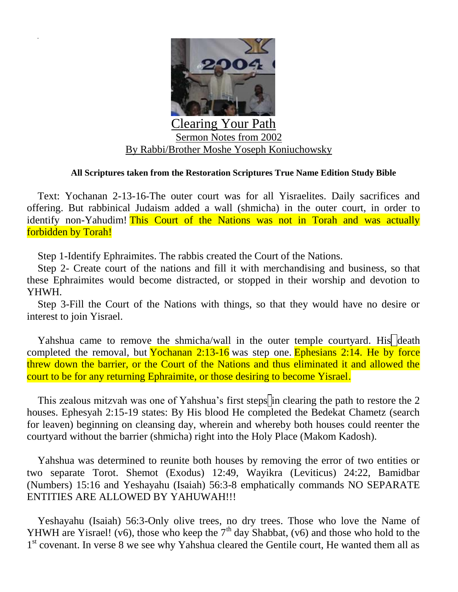

## **All Scriptures taken from the Restoration Scriptures True Name Edition Study Bible**

Text: Yochanan 2-13-16-The outer court was for all Yisraelites. Daily sacrifices and offering. But rabbinical Judaism added a wall (shmicha) in the outer court, in order to identify non-Yahudim! This Court of the Nations was not in Torah and was actually forbidden by Torah!

Step 1-Identify Ephraimites. The rabbis created the Court of the Nations.

Step 2- Create court of the nations and fill it with merchandising and business, so that these Ephraimites would become distracted, or stopped in their worship and devotion to YHWH.

Step 3-Fill the Court of the Nations with things, so that they would have no desire or interest to join Yisrael.

Yahshua came to remove the shmicha/wall in the outer temple courtyard. His death completed the removal, but Yochanan  $2:13-16$  was step one. Ephesians  $2:14$ . He by force threw down the barrier, or the Court of the Nations and thus eliminated it and allowed the court to be for any returning Ephraimite, or those desiring to become Yisrael.

This zealous mitzvah was one of Yahshua's first steps in clearing the path to restore the 2 houses. Ephesyah 2:15-19 states: By His blood He completed the Bedekat Chametz (search for leaven) beginning on cleansing day, wherein and whereby both houses could reenter the courtyard without the barrier (shmicha) right into the Holy Place (Makom Kadosh).

Yahshua was determined to reunite both houses by removing the error of two entities or two separate Torot. Shemot (Exodus) 12:49, Wayikra (Leviticus) 24:22, Bamidbar (Numbers) 15:16 and Yeshayahu (Isaiah) 56:3-8 emphatically commands NO SEPARATE ENTITIES ARE ALLOWED BY YAHUWAH!!!

Yeshayahu (Isaiah) 56:3-Only olive trees, no dry trees. Those who love the Name of YHWH are Yisrael! (v6), those who keep the  $7<sup>th</sup>$  day Shabbat, (v6) and those who hold to the 1<sup>st</sup> covenant. In verse 8 we see why Yahshua cleared the Gentile court, He wanted them all as